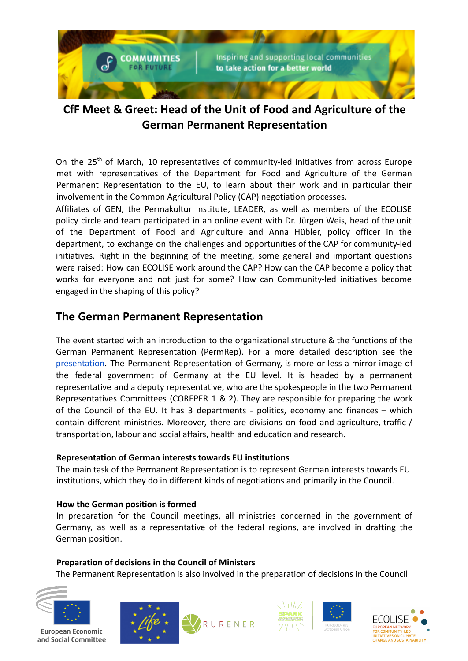

# **CfF Meet & Greet: Head of the Unit of Food and Agriculture of the German Permanent Representation**

On the 25<sup>th</sup> of March, 10 representatives of community-led initiatives from across Europe met with representatives of the Department for Food and Agriculture of the German Permanent Representation to the EU, to learn about their work and in particular their involvement in the Common Agricultural Policy (CAP) negotiation processes.

Affiliates of GEN, the Permakultur Institute, LEADER, as well as members of the ECOLISE policy circle and team participated in an online event with Dr. Jürgen Weis, head of the unit of the Department of Food and Agriculture and Anna Hübler, policy officer in the department, to exchange on the challenges and opportunities of the CAP for community-led initiatives. Right in the beginning of the meeting, some general and important questions were raised: How can ECOLISE work around the CAP? How can the CAP become a policy that works for everyone and not just for some? How can Community-led initiatives become engaged in the shaping of this policy?

### **The German Permanent Representation**

The event started with an introduction to the organizational structure & the functions of the German Permanent Representation (PermRep). For a more detailed description see the presentation. The Permanent Representation of Germany, is more or less a mirror image of the federal government of Germany at the EU level. It is headed by a permanent representative and a deputy representative, who are the spokespeople in the two Permanent Representatives Committees (COREPER 1 & 2). They are responsible for preparing the work of the Council of the EU. It has 3 departments - politics, economy and finances – which contain different ministries. Moreover, there are divisions on food and agriculture, traffic / transportation, labour and social affairs, health and education and research.

### **Representation of German interests towards EU institutions**

The main task of the Permanent Representation is to represent German interests towards EU institutions, which they do in different kinds of negotiations and primarily in the Council.

### **How the German position is formed**

In preparation for the Council meetings, all ministries concerned in the government of Germany, as well as a representative of the federal regions, are involved in drafting the German position.

### **Preparation of decisions in the Council of Ministers**

The Permanent Representation is also involved in the preparation of decisions in the Council



European Economic and Social Committee







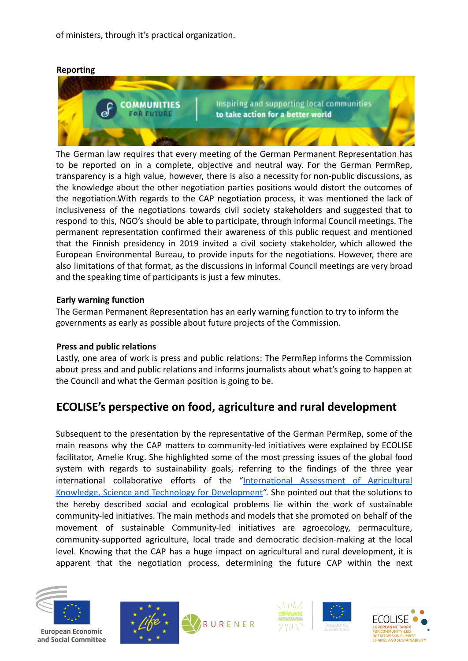of ministers, through it's practical organization.

#### **Reporting**



The German law requires that every meeting of the German Permanent Representation has to be reported on in a complete, objective and neutral way. For the German PermRep, transparency is a high value, however, there is also a necessity for non-public discussions, as the knowledge about the other negotiation parties positions would distort the outcomes of the negotiation.With regards to the CAP negotiation process, it was mentioned the lack of inclusiveness of the negotiations towards civil society stakeholders and suggested that to respond to this, NGO's should be able to participate, through informal Council meetings. The permanent representation confirmed their awareness of this public request and mentioned that the Finnish presidency in 2019 invited a civil society stakeholder, which allowed the European Environmental Bureau, to provide inputs for the negotiations. However, there are also limitations of that format, as the discussions in informal Council meetings are very broad and the speaking time of participants is just a few minutes.

#### **Early warning function**

The German Permanent Representation has an early warning function to try to inform the governments as early as possible about future projects of the Commission.

#### **Press and public relations**

Lastly, one area of work is press and public relations: The PermRep informs the Commission about press and and public relations and informs journalists about what's going to happen at the Council and what the German position is going to be.

## **ECOLISE's perspective on food, agriculture and rural development**

Subsequent to the presentation by the representative of the German PermRep, some of the main reasons why the CAP matters to community-led initiatives were explained by ECOLISE facilitator, Amelie Krug. She highlighted some of the most pressing issues of the global food system with regards to sustainability goals, referring to the findings of the three year international collaborative efforts of the "International Assessment of Agricultural Knowledge, Science and Technology for Development". She pointed out that the solutions to the hereby described social and ecological problems lie within the work of sustainable community-led initiatives. The main methods and models that she promoted on behalf of the movement of sustainable Community-led initiatives are agroecology, permaculture, community-supported agriculture, local trade and democratic decision-making at the local level. Knowing that the CAP has a huge impact on agricultural and rural development, it is apparent that the negotiation process, determining the future CAP within the next



European Economic and Social Committee







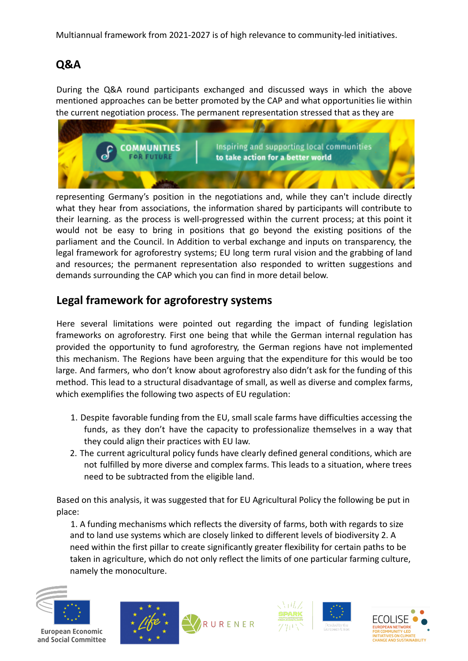Multiannual framework from 2021-2027 is of high relevance to community-led initiatives.

# **Q&A**

During the Q&A round participants exchanged and discussed ways in which the above mentioned approaches can be better promoted by the CAP and what opportunities lie within the current negotiation process. The permanent representation stressed that as they are



representing Germany's position in the negotiations and, while they can't include directly what they hear from associations, the information shared by participants will contribute to their learning. as the process is well-progressed within the current process; at this point it would not be easy to bring in positions that go beyond the existing positions of the parliament and the Council. In Addition to verbal exchange and inputs on transparency, the legal framework for agroforestry systems; EU long term rural vision and the grabbing of land and resources; the permanent representation also responded to written suggestions and demands surrounding the CAP which you can find in more detail below.

## **Legal framework for agroforestry systems**

Here several limitations were pointed out regarding the impact of funding legislation frameworks on agroforestry. First one being that while the German internal regulation has provided the opportunity to fund agroforestry, the German regions have not implemented this mechanism. The Regions have been arguing that the expenditure for this would be too large. And farmers, who don't know about agroforestry also didn't ask for the funding of this method. This lead to a structural disadvantage of small, as well as diverse and complex farms, which exemplifies the following two aspects of EU regulation:

- 1. Despite favorable funding from the EU, small scale farms have difficulties accessing the funds, as they don't have the capacity to professionalize themselves in a way that they could align their practices with EU law.
- 2. The current agricultural policy funds have clearly defined general conditions, which are not fulfilled by more diverse and complex farms. This leads to a situation, where trees need to be subtracted from the eligible land.

Based on this analysis, it was suggested that for EU Agricultural Policy the following be put in place:

1. A funding mechanisms which reflects the diversity of farms, both with regards to size and to land use systems which are closely linked to different levels of biodiversity 2. A need within the first pillar to create significantly greater flexibility for certain paths to be taken in agriculture, which do not only reflect the limits of one particular farming culture, namely the monoculture.



European Economic and Social Committee







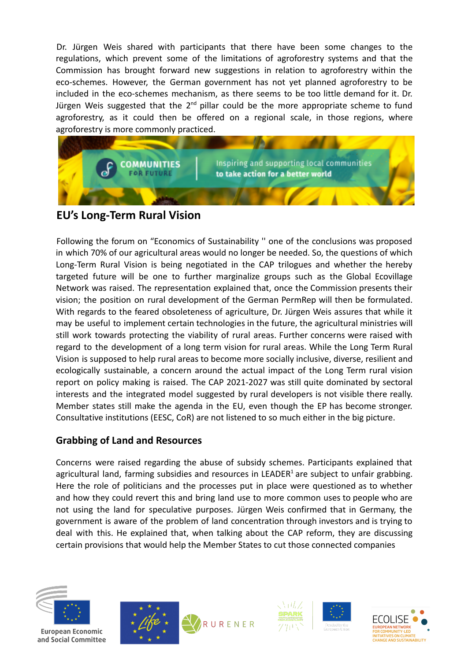Dr. Jürgen Weis shared with participants that there have been some changes to the regulations, which prevent some of the limitations of agroforestry systems and that the Commission has brought forward new suggestions in relation to agroforestry within the eco-schemes. However, the German government has not yet planned agroforestry to be included in the eco-schemes mechanism, as there seems to be too little demand for it. Dr. Jürgen Weis suggested that the 2<sup>nd</sup> pillar could be the more appropriate scheme to fund agroforestry, as it could then be offered on a regional scale, in those regions, where agroforestry is more commonly practiced.



## **EU's Long-Term Rural Vision**

Following the forum on "Economics of Sustainability '' one of the conclusions was proposed in which 70% of our agricultural areas would no longer be needed. So, the questions of which Long-Term Rural Vision is being negotiated in the CAP trilogues and whether the hereby targeted future will be one to further marginalize groups such as the Global Ecovillage Network was raised. The representation explained that, once the Commission presents their vision; the position on rural development of the German PermRep will then be formulated. With regards to the feared obsoleteness of agriculture, Dr. Jürgen Weis assures that while it may be useful to implement certain technologies in the future, the agricultural ministries will still work towards protecting the viability of rural areas. Further concerns were raised with regard to the development of a long term vision for rural areas. While the Long Term Rural Vision is supposed to help rural areas to become more socially inclusive, diverse, resilient and ecologically sustainable, a concern around the actual impact of the Long Term rural vision report on policy making is raised. The CAP 2021-2027 was still quite dominated by sectoral interests and the integrated model suggested by rural developers is not visible there really. Member states still make the agenda in the EU, even though the EP has become stronger. Consultative institutions (EESC, CoR) are not listened to so much either in the big picture.

### **Grabbing of Land and Resources**

Concerns were raised regarding the abuse of subsidy schemes. Participants explained that agricultural land, farming subsidies and resources in LEADER<sup>1</sup> are subject to unfair grabbing. Here the role of politicians and the processes put in place were questioned as to whether and how they could revert this and bring land use to more common uses to people who are not using the land for speculative purposes. Jürgen Weis confirmed that in Germany, the government is aware of the problem of land concentration through investors and is trying to deal with this. He explained that, when talking about the CAP reform, they are discussing certain provisions that would help the Member States to cut those connected companies



European Economic and Social Committee







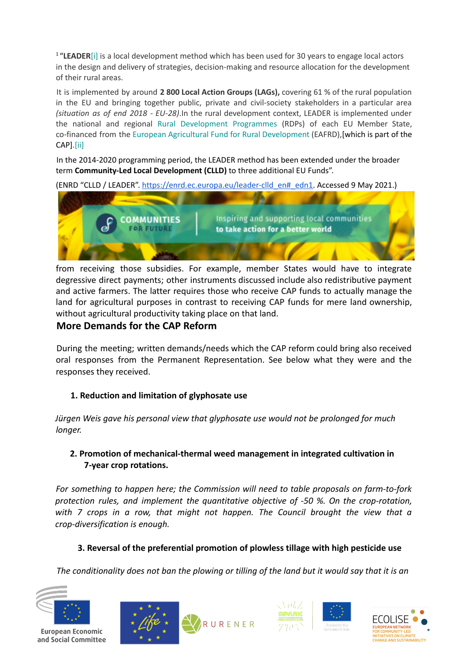<sup>1</sup> "LEADER<sup>[i]</sup> is a local development method which has been used for 30 years to engage local actors in the design and delivery of strategies, decision-making and resource allocation for the development of their rural areas.

It is implemented by around **2 800 Local Action Groups (LAGs),** covering 61 % of the rural population in the EU and bringing together public, private and civil-society stakeholders in a particular area *(situation as of end 2018 - EU-28)*.In the rural development context, LEADER is implemented under the national and regional Rural Development Programmes (RDPs) of each EU Member State, co-financed from the European Agricultural Fund for Rural Development (EAFRD),[which is part of the CAP].[ii]

In the 2014-2020 programming period, the LEADER method has been extended under the broader term **Community-Led Local Development (CLLD)** to three additional EU Funds".

(ENRD "CLLD / LEADER". https://enrd.ec.europa.eu/leader-clld\_en#\_edn1. Accessed 9 May 2021.)



from receiving those subsidies. For example, member States would have to integrate degressive direct payments; other instruments discussed include also redistributive payment and active farmers. The latter requires those who receive CAP funds to actually manage the land for agricultural purposes in contrast to receiving CAP funds for mere land ownership, without agricultural productivity taking place on that land.

### **More Demands for the CAP Reform**

During the meeting; written demands/needs which the CAP reform could bring also received oral responses from the Permanent Representation. See below what they were and the responses they received.

### **1. Reduction and limitation of glyphosate use**

*Jürgen Weis gave his personal view that glyphosate use would not be prolonged for much longer.*

### **2. Promotion of mechanical-thermal weed management in integrated cultivation in 7-year crop rotations.**

*For something to happen here; the Commission will need to table proposals on farm-to-fork protection rules, and implement the quantitative objective of -50 %. On the crop-rotation, with 7 crops in a row, that might not happen. The Council brought the view that a crop-diversification is enough.*

### **3. Reversal of the preferential promotion of plowless tillage with high pesticide use**

*The conditionality does not ban the plowing or tilling of the land but it would say that it is an*